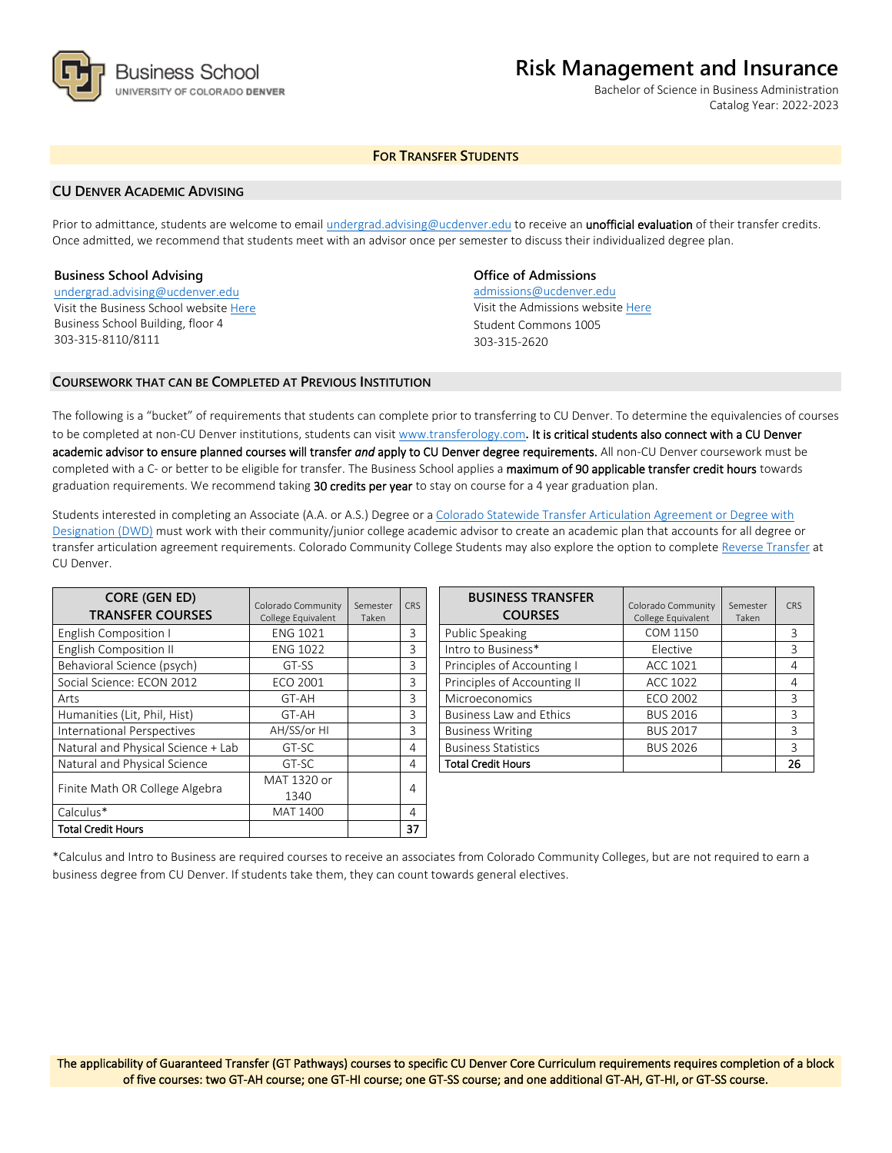

# **Risk Management and Insurance**

Bachelor of Science in Business Administration Catalog Year: 2022-2023

# **FOR TRANSFER STUDENTS**

## **CU DENVER ACADEMIC ADVISING**

Prior to admittance, students are welcome to email [undergrad.advising@ucdenver.edu](mailto:undergrad.advising@ucdenver.edu) to receive an *unofficial evaluation* of their transfer credits. Once admitted, we recommend that students meet with an advisor once per semester to discuss their individualized degree plan.

#### **Business School Advising**

[undergrad.advising@ucdenver.edu](mailto:undergrad.advising@ucdenver.edu) Visit the Business School websit[e Here](http://www.ucdenver.edu/academics/colleges/business/Pages/business-school.aspx)  Business School Building, floor 4 303-315-8110/8111

# **Office of Admissions**

admissions@ucdenver.edu Visit the Admissions website [Here](http://www.ucdenver.edu/admissions/) Student Commons 1005 303-315-2620

## **COURSEWORK THAT CAN BE COMPLETED AT PREVIOUS INSTITUTION**

The following is a "bucket" of requirements that students can complete prior to transferring to CU Denver. To determine the equivalencies of courses to be completed at non-CU Denver institutions, students can visit [www.transferology.com](http://www.transferology.com/)**.** It is critical students also connect with a CU Denver academic advisor to ensure planned courses will transfer *and* apply to CU Denver degree requirements. All non-CU Denver coursework must be completed with a C- or better to be eligible for transfer. The Business School applies a maximum of 90 applicable transfer credit hours towards graduation requirements. We recommend taking 30 credits per year to stay on course for a 4 year graduation plan.

Students interested in completing an Associate (A.A. or A.S.) Degree or a [Colorado Statewide Transfer Articulation Agreement or Degree with](https://highered.colorado.gov/Academics/Transfers/TransferDegrees.html)  [Designation \(DWD\)](https://highered.colorado.gov/Academics/Transfers/TransferDegrees.html) must work with their community/junior college academic advisor to create an academic plan that accounts for all degree or transfer articulation agreement requirements. Colorado Community College Students may also explore the option to complet[e Reverse Transfer](https://degreewithinreach.wordpress.com/) at CU Denver.

| <b>CORE (GEN ED)</b><br><b>TRANSFER COURSES</b> | Colorado Community<br>College Equivalent | Semester<br>Taken | <b>CRS</b> |
|-------------------------------------------------|------------------------------------------|-------------------|------------|
| English Composition I                           | <b>ENG 1021</b>                          |                   | 3          |
| English Composition II                          | <b>ENG 1022</b>                          |                   | 3          |
| Behavioral Science (psych)                      | GT-SS                                    |                   | 3          |
| Social Science: ECON 2012                       | ECO 2001                                 |                   | 3          |
| Arts                                            | GT-AH                                    |                   | 3          |
| Humanities (Lit, Phil, Hist)                    | GT-AH                                    |                   | 3          |
| International Perspectives                      | AH/SS/or HI                              |                   | 3          |
| Natural and Physical Science + Lab              | GT-SC                                    |                   | 4          |
| Natural and Physical Science                    | GT-SC                                    |                   | 4          |
| Finite Math OR College Algebra                  | MAT 1320 or                              |                   | 4          |
|                                                 | 1340                                     |                   |            |
| Calculus*                                       | <b>MAT 1400</b>                          |                   | 4          |
| <b>Total Credit Hours</b>                       |                                          |                   | 37         |

| <b>BUSINESS TRANSFER</b><br><b>COURSES</b> | Colorado Community<br>College Equivalent | Semester<br>Taken | CRS |
|--------------------------------------------|------------------------------------------|-------------------|-----|
| Public Speaking                            | COM 1150                                 |                   | 3   |
| Intro to Business*                         | Elective                                 |                   | 3   |
| Principles of Accounting I                 | ACC 1021                                 |                   | 4   |
| Principles of Accounting II                | <b>ACC 1022</b>                          |                   | 4   |
| Microeconomics                             | <b>ECO 2002</b>                          |                   | 3   |
| <b>Business Law and Ethics</b>             | <b>BUS 2016</b>                          |                   | 3   |
| <b>Business Writing</b>                    | <b>BUS 2017</b>                          |                   | 3   |
| <b>Business Statistics</b>                 | <b>BUS 2026</b>                          |                   | 3   |
| <b>Total Credit Hours</b>                  |                                          |                   | 26  |

\*Calculus and Intro to Business are required courses to receive an associates from Colorado Community Colleges, but are not required to earn a business degree from CU Denver. If students take them, they can count towards general electives.